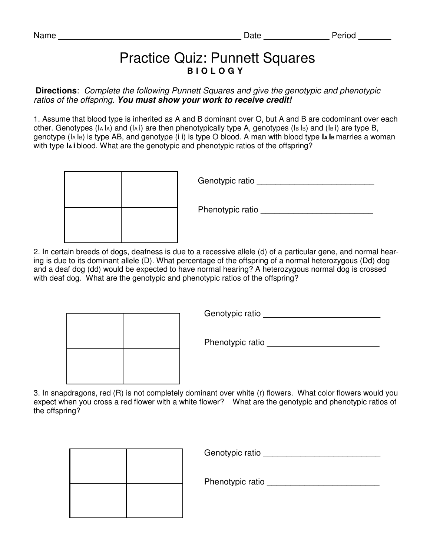## Practice Quiz: Punnett Squares **B I O L O G Y**

**Directions**: Complete the following Punnett Squares and give the genotypic and phenotypic ratios of the offspring. **You must show your work to receive credit!** 

1. Assume that blood type is inherited as A and B dominant over O, but A and B are codominant over each other. Genotypes (IA IA) and (IA i) are then phenotypically type A, genotypes (IB IB) and (IB i) are type B, genotype (IA IB) is type AB, and genotype (i i) is type O blood. A man with blood type **IA I<sup>B</sup>** marries a woman with type **IA i** blood. What are the genotypic and phenotypic ratios of the offspring?

|  | Genotypic ratio  |
|--|------------------|
|  | Phenotypic ratio |
|  |                  |

2. In certain breeds of dogs, deafness is due to a recessive allele (d) of a particular gene, and normal hearing is due to its dominant allele (D). What percentage of the offspring of a normal heterozygous (Dd) dog and a deaf dog (dd) would be expected to have normal hearing? A heterozygous normal dog is crossed with deaf dog. What are the genotypic and phenotypic ratios of the offspring?

Genotypic ratio \_\_\_\_\_\_\_\_\_\_\_\_\_\_\_\_\_\_\_\_\_\_\_\_\_

Phenotypic ratio \_\_\_\_\_\_\_\_\_\_\_\_\_\_\_\_\_\_\_\_\_\_\_\_

3. In snapdragons, red (R) is not completely dominant over white (r) flowers. What color flowers would you expect when you cross a red flower with a white flower? What are the genotypic and phenotypic ratios of the offspring?

|  | Genotypic ratio  |
|--|------------------|
|  | Phenotypic ratio |
|  |                  |